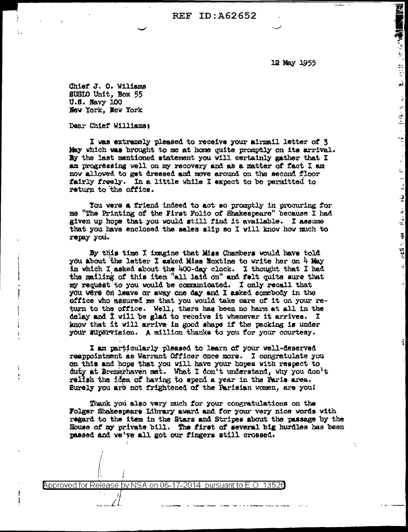**REF ID: A62652** 

12 May 1955

**PROPERTY OF STATE** 

ا<br>انجو

 $\mathbb{R}^{\mathbb{Z}}$ 

 $\sim$  10 H  $\gamma$ 

πğ

 $\mathbb{R}$ 

Ļ,

 $\begin{bmatrix} 1 \\ 2 \end{bmatrix}$ 

 $\overline{z}$ 

ाः सद्दर्भः ख्या ।।∟ित्या

Chief J. O. Wiliams SUSIO Unit. Box 55 U.S. Navy 100 New York, New York

Dear Chief Williams:

÷

I was extremely pleased to receive your airmail letter of 3 May which was brought to me at home quite promptly on its arrival. By the last mentioned statement you will certainly gather that I am progressing well on my recovery and as a matter of fact I am now allowed to get dressed and move around on the second floor fairly freely. In a little while I expect to be permitted to return to the office.

You were a friend indeed to act so promptly in procuring for me "The Printing of the First Folio of Shakespeare" because I had given up hope that you would gtill find it available. I assume that you have enclosed the sales alip so I will know how much to repay you.

By this time I imagine that Miss Chambers would have told you about the latter I asked Miss Noxtine to write her on 4 May in which I asked about the 400-day clock. I thought that I had the mailing of this item "all laid on" and felt quite sure that my request to you would be communicated. I only recall that you were on leave or away one day and I asked somebody in the office who assured me that you would take care of it on your return to the office. Well, there has been no harm at all in the delay and I will be glad to receive it whenever it arrives. I know that it will arrive in good shape if the packing is under your supervision. A million thanks to you for your courtesy.

I am particularly pleased to learn of your well-deserved reappointment as Warrant Officer once more. I congratulate you on this and hope that you will have your hopes with respect to duty at Bremerhaven met. What I don't understand, why you don't rellsh the idea of having to spend a year in the Faris area. Surely you are not frightened of the Parisian women, are you!

Thank you also very much for your congratulations on the Folger Shakespeare Library award and for your very nice words with regard to the item in the Stars and Stripes about the passage by the House of my private bill. The first of several big hurdles has been passed and we've all got our fingers still crossed.

Approved for Release by NSA on 06-17-2014 pursuant to E.O. 13526